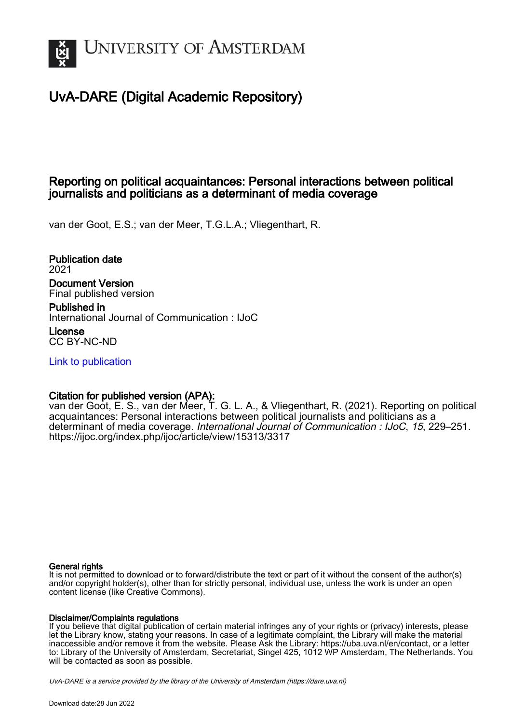

# UvA-DARE (Digital Academic Repository)

## Reporting on political acquaintances: Personal interactions between political journalists and politicians as a determinant of media coverage

van der Goot, E.S.; van der Meer, T.G.L.A.; Vliegenthart, R.

Publication date 2021 Document Version Final published version

Published in International Journal of Communication : IJoC

License CC BY-NC-ND

[Link to publication](https://dare.uva.nl/personal/pure/en/publications/reporting-on-political-acquaintances-personal-interactions-between-political-journalists-and-politicians-as-a-determinant-of-media-coverage(df2e84fe-262d-4ae5-b290-09932f0311a4).html)

## Citation for published version (APA):

van der Goot, E. S., van der Meer, T. G. L. A., & Vliegenthart, R. (2021). Reporting on political acquaintances: Personal interactions between political journalists and politicians as a determinant of media coverage. International Journal of Communication : IJoC, 15, 229–251. <https://ijoc.org/index.php/ijoc/article/view/15313/3317>

## General rights

It is not permitted to download or to forward/distribute the text or part of it without the consent of the author(s) and/or copyright holder(s), other than for strictly personal, individual use, unless the work is under an open content license (like Creative Commons).

## Disclaimer/Complaints regulations

If you believe that digital publication of certain material infringes any of your rights or (privacy) interests, please let the Library know, stating your reasons. In case of a legitimate complaint, the Library will make the material inaccessible and/or remove it from the website. Please Ask the Library: https://uba.uva.nl/en/contact, or a letter to: Library of the University of Amsterdam, Secretariat, Singel 425, 1012 WP Amsterdam, The Netherlands. You will be contacted as soon as possible.

UvA-DARE is a service provided by the library of the University of Amsterdam (http*s*://dare.uva.nl)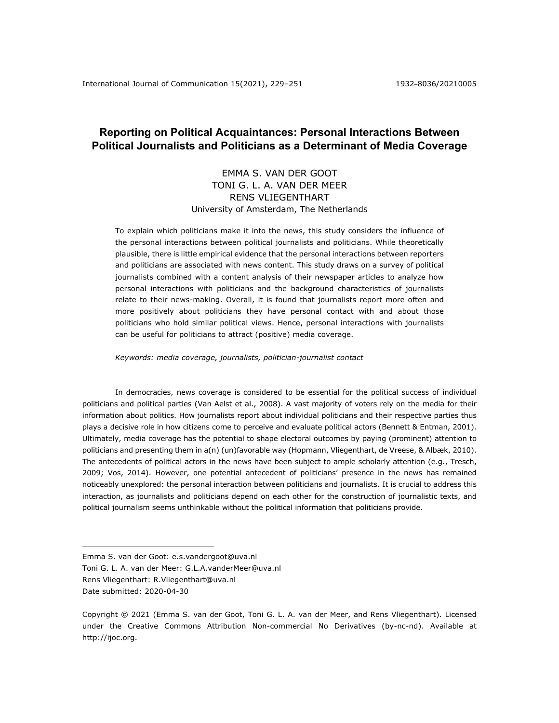## **Reporting on Political Acquaintances: Personal Interactions Between Political Journalists and Politicians as a Determinant of Media Coverage**

## EMMA S. VAN DER GOOT TONI G. L. A. VAN DER MEER RENS VLIEGENTHART University of Amsterdam, The Netherlands

To explain which politicians make it into the news, this study considers the influence of the personal interactions between political journalists and politicians. While theoretically plausible, there is little empirical evidence that the personal interactions between reporters and politicians are associated with news content. This study draws on a survey of political journalists combined with a content analysis of their newspaper articles to analyze how personal interactions with politicians and the background characteristics of journalists relate to their news-making. Overall, it is found that journalists report more often and more positively about politicians they have personal contact with and about those politicians who hold similar political views. Hence, personal interactions with journalists can be useful for politicians to attract (positive) media coverage.

*Keywords: media coverage, journalists, politician-journalist contact*

In democracies, news coverage is considered to be essential for the political success of individual politicians and political parties (Van Aelst et al., 2008). A vast majority of voters rely on the media for their information about politics. How journalists report about individual politicians and their respective parties thus plays a decisive role in how citizens come to perceive and evaluate political actors (Bennett & Entman, 2001). Ultimately, media coverage has the potential to shape electoral outcomes by paying (prominent) attention to politicians and presenting them in a(n) (un)favorable way (Hopmann, Vliegenthart, de Vreese, & Albæk, 2010). The antecedents of political actors in the news have been subject to ample scholarly attention (e.g., Tresch, 2009; Vos, 2014). However, one potential antecedent of politicians' presence in the news has remained noticeably unexplored: the personal interaction between politicians and journalists. It is crucial to address this interaction, as journalists and politicians depend on each other for the construction of journalistic texts, and political journalism seems unthinkable without the political information that politicians provide.

Emma S. van der Goot: e.s.vandergoot@uva.nl

Toni G. L. A. van der Meer: G.L.A.vanderMeer@uva.nl

Rens Vliegenthart: R.Vliegenthart@uva.nl

Date submitted: 2020-04-30

Copyright © 2021 (Emma S. van der Goot, Toni G. L. A. van der Meer, and Rens Vliegenthart). Licensed under the Creative Commons Attribution Non-commercial No Derivatives (by-nc-nd). Available at http://ijoc.org.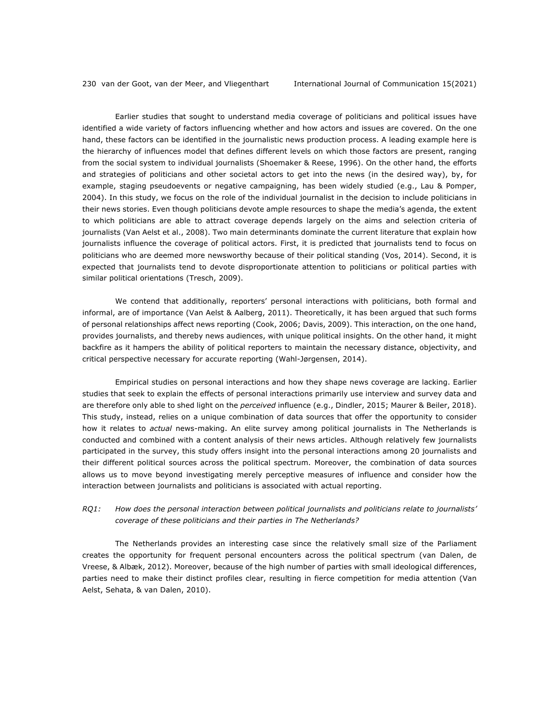Earlier studies that sought to understand media coverage of politicians and political issues have identified a wide variety of factors influencing whether and how actors and issues are covered. On the one hand, these factors can be identified in the journalistic news production process. A leading example here is the hierarchy of influences model that defines different levels on which those factors are present, ranging from the social system to individual journalists (Shoemaker & Reese, 1996). On the other hand, the efforts and strategies of politicians and other societal actors to get into the news (in the desired way), by, for example, staging pseudoevents or negative campaigning, has been widely studied (e.g., Lau & Pomper, 2004). In this study, we focus on the role of the individual journalist in the decision to include politicians in their news stories. Even though politicians devote ample resources to shape the media's agenda, the extent to which politicians are able to attract coverage depends largely on the aims and selection criteria of journalists (Van Aelst et al., 2008). Two main determinants dominate the current literature that explain how journalists influence the coverage of political actors. First, it is predicted that journalists tend to focus on politicians who are deemed more newsworthy because of their political standing (Vos, 2014). Second, it is expected that journalists tend to devote disproportionate attention to politicians or political parties with similar political orientations (Tresch, 2009).

We contend that additionally, reporters' personal interactions with politicians, both formal and informal, are of importance (Van Aelst & Aalberg, 2011). Theoretically, it has been argued that such forms of personal relationships affect news reporting (Cook, 2006; Davis, 2009). This interaction, on the one hand, provides journalists, and thereby news audiences, with unique political insights. On the other hand, it might backfire as it hampers the ability of political reporters to maintain the necessary distance, objectivity, and critical perspective necessary for accurate reporting (Wahl-Jørgensen, 2014).

Empirical studies on personal interactions and how they shape news coverage are lacking. Earlier studies that seek to explain the effects of personal interactions primarily use interview and survey data and are therefore only able to shed light on the *perceived* influence (e.g., Dindler, 2015; Maurer & Beiler, 2018). This study, instead, relies on a unique combination of data sources that offer the opportunity to consider how it relates to *actual* news-making. An elite survey among political journalists in The Netherlands is conducted and combined with a content analysis of their news articles. Although relatively few journalists participated in the survey, this study offers insight into the personal interactions among 20 journalists and their different political sources across the political spectrum. Moreover, the combination of data sources allows us to move beyond investigating merely perceptive measures of influence and consider how the interaction between journalists and politicians is associated with actual reporting.

### *RQ1: How does the personal interaction between political journalists and politicians relate to journalists' coverage of these politicians and their parties in The Netherlands?*

The Netherlands provides an interesting case since the relatively small size of the Parliament creates the opportunity for frequent personal encounters across the political spectrum (van Dalen, de Vreese, & Albæk, 2012). Moreover, because of the high number of parties with small ideological differences, parties need to make their distinct profiles clear, resulting in fierce competition for media attention (Van Aelst, Sehata, & van Dalen, 2010).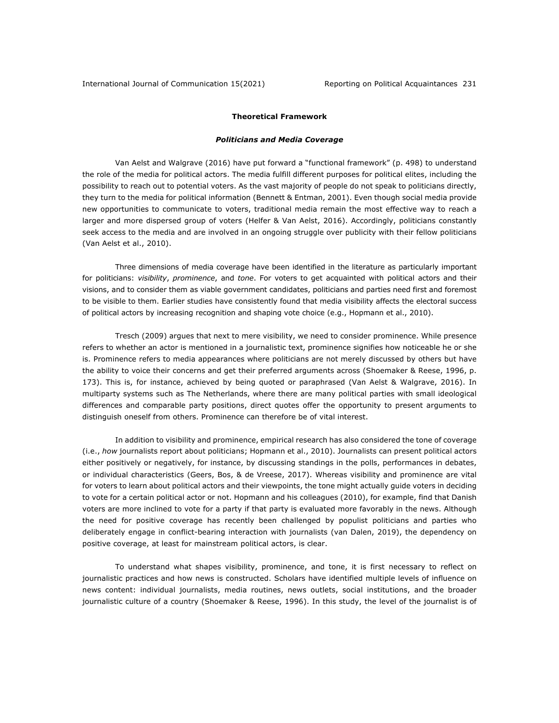#### **Theoretical Framework**

#### *Politicians and Media Coverage*

Van Aelst and Walgrave (2016) have put forward a "functional framework" (p. 498) to understand the role of the media for political actors. The media fulfill different purposes for political elites, including the possibility to reach out to potential voters. As the vast majority of people do not speak to politicians directly, they turn to the media for political information (Bennett & Entman, 2001). Even though social media provide new opportunities to communicate to voters, traditional media remain the most effective way to reach a larger and more dispersed group of voters (Helfer & Van Aelst, 2016). Accordingly, politicians constantly seek access to the media and are involved in an ongoing struggle over publicity with their fellow politicians (Van Aelst et al., 2010).

Three dimensions of media coverage have been identified in the literature as particularly important for politicians: *visibility*, *prominence*, and *tone*. For voters to get acquainted with political actors and their visions, and to consider them as viable government candidates, politicians and parties need first and foremost to be visible to them. Earlier studies have consistently found that media visibility affects the electoral success of political actors by increasing recognition and shaping vote choice (e.g., Hopmann et al., 2010).

Tresch (2009) argues that next to mere visibility, we need to consider prominence. While presence refers to whether an actor is mentioned in a journalistic text, prominence signifies how noticeable he or she is. Prominence refers to media appearances where politicians are not merely discussed by others but have the ability to voice their concerns and get their preferred arguments across (Shoemaker & Reese, 1996, p. 173). This is, for instance, achieved by being quoted or paraphrased (Van Aelst & Walgrave, 2016). In multiparty systems such as The Netherlands, where there are many political parties with small ideological differences and comparable party positions, direct quotes offer the opportunity to present arguments to distinguish oneself from others. Prominence can therefore be of vital interest.

In addition to visibility and prominence, empirical research has also considered the tone of coverage (i.e., *how* journalists report about politicians; Hopmann et al., 2010). Journalists can present political actors either positively or negatively, for instance, by discussing standings in the polls, performances in debates, or individual characteristics (Geers, Bos, & de Vreese, 2017). Whereas visibility and prominence are vital for voters to learn about political actors and their viewpoints, the tone might actually guide voters in deciding to vote for a certain political actor or not. Hopmann and his colleagues (2010), for example, find that Danish voters are more inclined to vote for a party if that party is evaluated more favorably in the news. Although the need for positive coverage has recently been challenged by populist politicians and parties who deliberately engage in conflict-bearing interaction with journalists (van Dalen, 2019), the dependency on positive coverage, at least for mainstream political actors, is clear.

To understand what shapes visibility, prominence, and tone, it is first necessary to reflect on journalistic practices and how news is constructed. Scholars have identified multiple levels of influence on news content: individual journalists, media routines, news outlets, social institutions, and the broader journalistic culture of a country (Shoemaker & Reese, 1996). In this study, the level of the journalist is of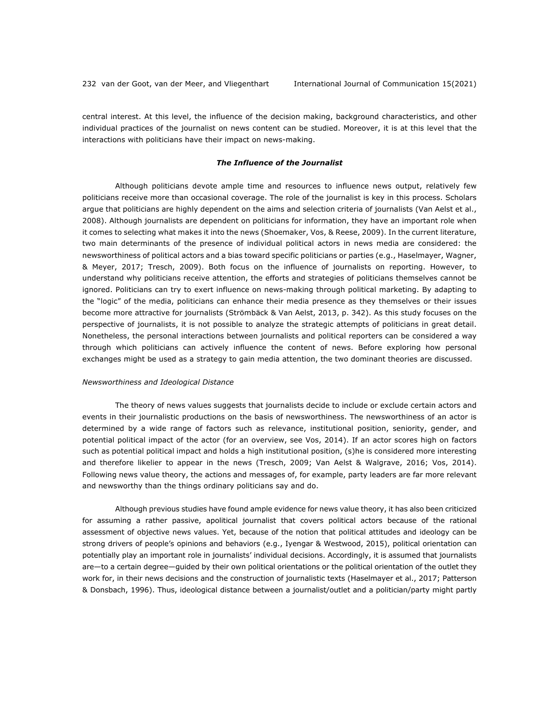central interest. At this level, the influence of the decision making, background characteristics, and other individual practices of the journalist on news content can be studied. Moreover, it is at this level that the interactions with politicians have their impact on news-making.

#### *The Influence of the Journalist*

Although politicians devote ample time and resources to influence news output, relatively few politicians receive more than occasional coverage. The role of the journalist is key in this process. Scholars argue that politicians are highly dependent on the aims and selection criteria of journalists (Van Aelst et al., 2008). Although journalists are dependent on politicians for information, they have an important role when it comes to selecting what makes it into the news (Shoemaker, Vos, & Reese, 2009). In the current literature, two main determinants of the presence of individual political actors in news media are considered: the newsworthiness of political actors and a bias toward specific politicians or parties (e.g., Haselmayer, Wagner, & Meyer, 2017; Tresch, 2009). Both focus on the influence of journalists on reporting. However, to understand why politicians receive attention, the efforts and strategies of politicians themselves cannot be ignored. Politicians can try to exert influence on news-making through political marketing. By adapting to the "logic" of the media, politicians can enhance their media presence as they themselves or their issues become more attractive for journalists (Strömbäck & Van Aelst, 2013, p. 342). As this study focuses on the perspective of journalists, it is not possible to analyze the strategic attempts of politicians in great detail. Nonetheless, the personal interactions between journalists and political reporters can be considered a way through which politicians can actively influence the content of news. Before exploring how personal exchanges might be used as a strategy to gain media attention, the two dominant theories are discussed.

#### *Newsworthiness and Ideological Distance*

The theory of news values suggests that journalists decide to include or exclude certain actors and events in their journalistic productions on the basis of newsworthiness. The newsworthiness of an actor is determined by a wide range of factors such as relevance, institutional position, seniority, gender, and potential political impact of the actor (for an overview, see Vos, 2014). If an actor scores high on factors such as potential political impact and holds a high institutional position, (s)he is considered more interesting and therefore likelier to appear in the news (Tresch, 2009; Van Aelst & Walgrave, 2016; Vos, 2014). Following news value theory, the actions and messages of, for example, party leaders are far more relevant and newsworthy than the things ordinary politicians say and do.

Although previous studies have found ample evidence for news value theory, it has also been criticized for assuming a rather passive, apolitical journalist that covers political actors because of the rational assessment of objective news values. Yet, because of the notion that political attitudes and ideology can be strong drivers of people's opinions and behaviors (e.g., Iyengar & Westwood, 2015), political orientation can potentially play an important role in journalists' individual decisions. Accordingly, it is assumed that journalists are—to a certain degree—guided by their own political orientations or the political orientation of the outlet they work for, in their news decisions and the construction of journalistic texts (Haselmayer et al., 2017; Patterson & Donsbach, 1996). Thus, ideological distance between a journalist/outlet and a politician/party might partly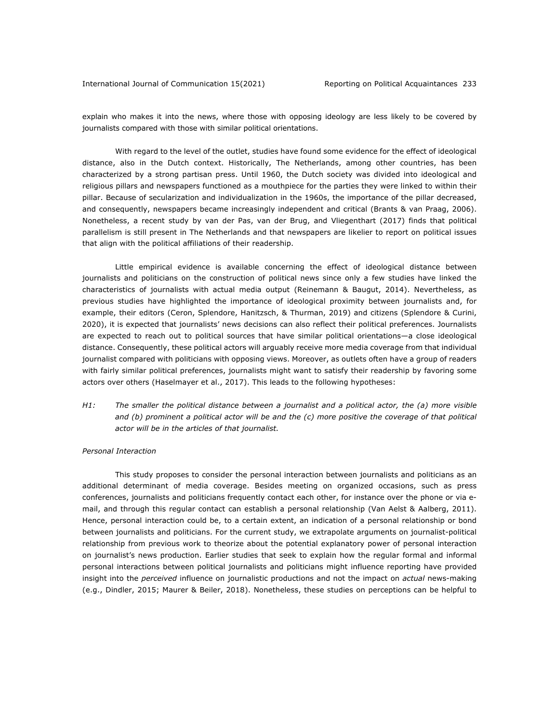explain who makes it into the news, where those with opposing ideology are less likely to be covered by journalists compared with those with similar political orientations.

With regard to the level of the outlet, studies have found some evidence for the effect of ideological distance, also in the Dutch context. Historically, The Netherlands, among other countries, has been characterized by a strong partisan press. Until 1960, the Dutch society was divided into ideological and religious pillars and newspapers functioned as a mouthpiece for the parties they were linked to within their pillar. Because of secularization and individualization in the 1960s, the importance of the pillar decreased, and consequently, newspapers became increasingly independent and critical (Brants & van Praag, 2006). Nonetheless, a recent study by van der Pas, van der Brug, and Vliegenthart (2017) finds that political parallelism is still present in The Netherlands and that newspapers are likelier to report on political issues that align with the political affiliations of their readership.

Little empirical evidence is available concerning the effect of ideological distance between journalists and politicians on the construction of political news since only a few studies have linked the characteristics of journalists with actual media output (Reinemann & Baugut, 2014). Nevertheless, as previous studies have highlighted the importance of ideological proximity between journalists and, for example, their editors (Ceron, Splendore, Hanitzsch, & Thurman, 2019) and citizens (Splendore & Curini, 2020), it is expected that journalists' news decisions can also reflect their political preferences. Journalists are expected to reach out to political sources that have similar political orientations—a close ideological distance. Consequently, these political actors will arguably receive more media coverage from that individual journalist compared with politicians with opposing views. Moreover, as outlets often have a group of readers with fairly similar political preferences, journalists might want to satisfy their readership by favoring some actors over others (Haselmayer et al., 2017). This leads to the following hypotheses:

*H1: The smaller the political distance between a journalist and a political actor, the (a) more visible*  and (b) prominent a political actor will be and the (c) more positive the coverage of that political *actor will be in the articles of that journalist.*

#### *Personal Interaction*

This study proposes to consider the personal interaction between journalists and politicians as an additional determinant of media coverage. Besides meeting on organized occasions, such as press conferences, journalists and politicians frequently contact each other, for instance over the phone or via email, and through this regular contact can establish a personal relationship (Van Aelst & Aalberg, 2011). Hence, personal interaction could be, to a certain extent, an indication of a personal relationship or bond between journalists and politicians. For the current study, we extrapolate arguments on journalist-political relationship from previous work to theorize about the potential explanatory power of personal interaction on journalist's news production. Earlier studies that seek to explain how the regular formal and informal personal interactions between political journalists and politicians might influence reporting have provided insight into the *perceived* influence on journalistic productions and not the impact on *actual* news-making (e.g., Dindler, 2015; Maurer & Beiler, 2018). Nonetheless, these studies on perceptions can be helpful to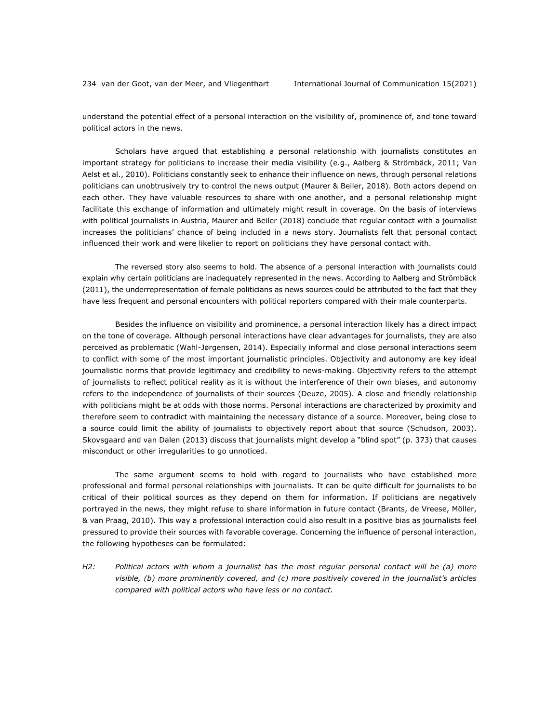understand the potential effect of a personal interaction on the visibility of, prominence of, and tone toward political actors in the news.

Scholars have argued that establishing a personal relationship with journalists constitutes an important strategy for politicians to increase their media visibility (e.g., Aalberg & Strömbäck, 2011; Van Aelst et al., 2010). Politicians constantly seek to enhance their influence on news, through personal relations politicians can unobtrusively try to control the news output (Maurer & Beiler, 2018). Both actors depend on each other. They have valuable resources to share with one another, and a personal relationship might facilitate this exchange of information and ultimately might result in coverage. On the basis of interviews with political journalists in Austria, Maurer and Beiler (2018) conclude that regular contact with a journalist increases the politicians' chance of being included in a news story. Journalists felt that personal contact influenced their work and were likelier to report on politicians they have personal contact with.

The reversed story also seems to hold. The absence of a personal interaction with journalists could explain why certain politicians are inadequately represented in the news. According to Aalberg and Strömbäck (2011), the underrepresentation of female politicians as news sources could be attributed to the fact that they have less frequent and personal encounters with political reporters compared with their male counterparts.

Besides the influence on visibility and prominence, a personal interaction likely has a direct impact on the tone of coverage. Although personal interactions have clear advantages for journalists, they are also perceived as problematic (Wahl-Jørgensen, 2014). Especially informal and close personal interactions seem to conflict with some of the most important journalistic principles. Objectivity and autonomy are key ideal journalistic norms that provide legitimacy and credibility to news-making. Objectivity refers to the attempt of journalists to reflect political reality as it is without the interference of their own biases, and autonomy refers to the independence of journalists of their sources (Deuze, 2005). A close and friendly relationship with politicians might be at odds with those norms. Personal interactions are characterized by proximity and therefore seem to contradict with maintaining the necessary distance of a source. Moreover, being close to a source could limit the ability of journalists to objectively report about that source (Schudson, 2003). Skovsgaard and van Dalen (2013) discuss that journalists might develop a "blind spot" (p. 373) that causes misconduct or other irregularities to go unnoticed.

The same argument seems to hold with regard to journalists who have established more professional and formal personal relationships with journalists. It can be quite difficult for journalists to be critical of their political sources as they depend on them for information. If politicians are negatively portrayed in the news, they might refuse to share information in future contact (Brants, de Vreese, Möller, & van Praag, 2010). This way a professional interaction could also result in a positive bias as journalists feel pressured to provide their sources with favorable coverage. Concerning the influence of personal interaction, the following hypotheses can be formulated:

*H2: Political actors with whom a journalist has the most regular personal contact will be (a) more visible, (b) more prominently covered, and (c) more positively covered in the journalist's articles compared with political actors who have less or no contact.*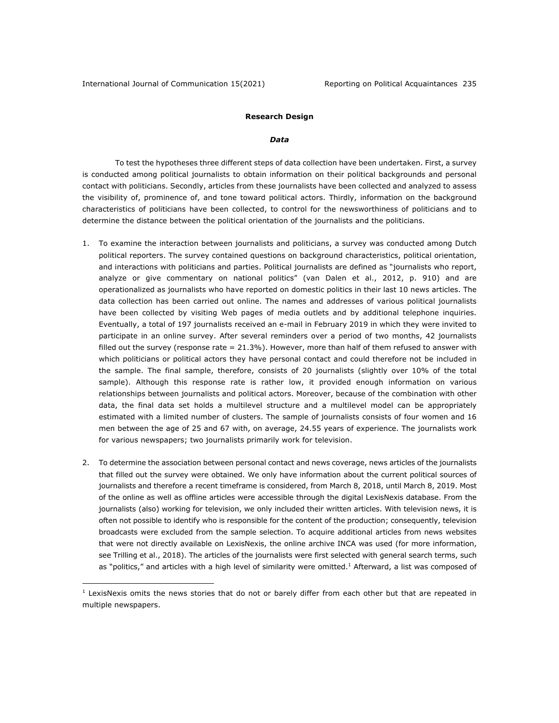#### **Research Design**

#### *Data*

To test the hypotheses three different steps of data collection have been undertaken. First, a survey is conducted among political journalists to obtain information on their political backgrounds and personal contact with politicians. Secondly, articles from these journalists have been collected and analyzed to assess the visibility of, prominence of, and tone toward political actors. Thirdly, information on the background characteristics of politicians have been collected, to control for the newsworthiness of politicians and to determine the distance between the political orientation of the journalists and the politicians.

- 1. To examine the interaction between journalists and politicians, a survey was conducted among Dutch political reporters. The survey contained questions on background characteristics, political orientation, and interactions with politicians and parties. Political journalists are defined as "journalists who report, analyze or give commentary on national politics" (van Dalen et al., 2012, p. 910) and are operationalized as journalists who have reported on domestic politics in their last 10 news articles. The data collection has been carried out online. The names and addresses of various political journalists have been collected by visiting Web pages of media outlets and by additional telephone inquiries. Eventually, a total of 197 journalists received an e-mail in February 2019 in which they were invited to participate in an online survey. After several reminders over a period of two months, 42 journalists filled out the survey (response rate  $= 21.3\%$ ). However, more than half of them refused to answer with which politicians or political actors they have personal contact and could therefore not be included in the sample. The final sample, therefore, consists of 20 journalists (slightly over 10% of the total sample). Although this response rate is rather low, it provided enough information on various relationships between journalists and political actors. Moreover, because of the combination with other data, the final data set holds a multilevel structure and a multilevel model can be appropriately estimated with a limited number of clusters. The sample of journalists consists of four women and 16 men between the age of 25 and 67 with, on average, 24.55 years of experience. The journalists work for various newspapers; two journalists primarily work for television.
- 2. To determine the association between personal contact and news coverage, news articles of the journalists that filled out the survey were obtained. We only have information about the current political sources of journalists and therefore a recent timeframe is considered, from March 8, 2018, until March 8, 2019. Most of the online as well as offline articles were accessible through the digital LexisNexis database. From the journalists (also) working for television, we only included their written articles. With television news, it is often not possible to identify who is responsible for the content of the production; consequently, television broadcasts were excluded from the sample selection. To acquire additional articles from news websites that were not directly available on LexisNexis, the online archive INCA was used (for more information, see Trilling et al., 2018). The articles of the journalists were first selected with general search terms, such as "politics," and articles with a high level of similarity were omitted.<sup>1</sup> Afterward, a list was composed of

 $<sup>1</sup>$  LexisNexis omits the news stories that do not or barely differ from each other but that are repeated in</sup> multiple newspapers.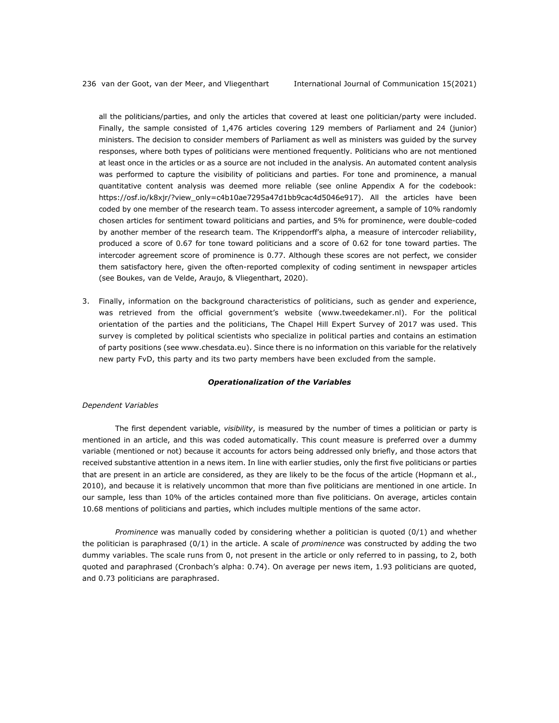all the politicians/parties, and only the articles that covered at least one politician/party were included. Finally, the sample consisted of 1,476 articles covering 129 members of Parliament and 24 (junior) ministers. The decision to consider members of Parliament as well as ministers was guided by the survey responses, where both types of politicians were mentioned frequently. Politicians who are not mentioned at least once in the articles or as a source are not included in the analysis. An automated content analysis was performed to capture the visibility of politicians and parties. For tone and prominence, a manual quantitative content analysis was deemed more reliable (see online Appendix A for the codebook: https://osf.io/k8xjr/?view\_only=c4b10ae7295a47d1bb9cac4d5046e917). All the articles have been coded by one member of the research team. To assess intercoder agreement, a sample of 10% randomly chosen articles for sentiment toward politicians and parties, and 5% for prominence, were double-coded by another member of the research team. The Krippendorff's alpha, a measure of intercoder reliability, produced a score of 0.67 for tone toward politicians and a score of 0.62 for tone toward parties. The intercoder agreement score of prominence is 0.77. Although these scores are not perfect, we consider them satisfactory here, given the often-reported complexity of coding sentiment in newspaper articles (see Boukes, van de Velde, Araujo, & Vliegenthart, 2020).

3. Finally, information on the background characteristics of politicians, such as gender and experience, was retrieved from the official government's website (www.tweedekamer.nl). For the political orientation of the parties and the politicians, The Chapel Hill Expert Survey of 2017 was used. This survey is completed by political scientists who specialize in political parties and contains an estimation of party positions (see www.chesdata.eu). Since there is no information on this variable for the relatively new party FvD, this party and its two party members have been excluded from the sample.

#### *Operationalization of the Variables*

#### *Dependent Variables*

The first dependent variable, *visibility*, is measured by the number of times a politician or party is mentioned in an article, and this was coded automatically. This count measure is preferred over a dummy variable (mentioned or not) because it accounts for actors being addressed only briefly, and those actors that received substantive attention in a news item. In line with earlier studies, only the first five politicians or parties that are present in an article are considered, as they are likely to be the focus of the article (Hopmann et al., 2010), and because it is relatively uncommon that more than five politicians are mentioned in one article. In our sample, less than 10% of the articles contained more than five politicians. On average, articles contain 10.68 mentions of politicians and parties, which includes multiple mentions of the same actor.

*Prominence* was manually coded by considering whether a politician is quoted (0/1) and whether the politician is paraphrased (0/1) in the article. A scale of *prominence* was constructed by adding the two dummy variables. The scale runs from 0, not present in the article or only referred to in passing, to 2, both quoted and paraphrased (Cronbach's alpha: 0.74). On average per news item, 1.93 politicians are quoted, and 0.73 politicians are paraphrased.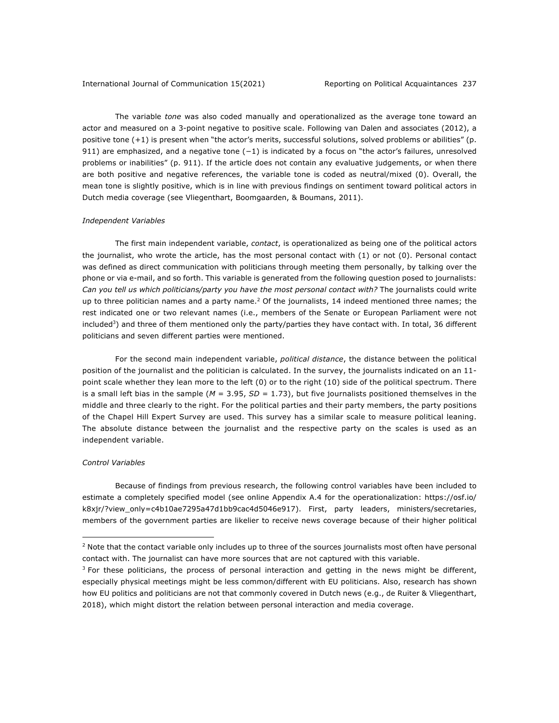The variable *tone* was also coded manually and operationalized as the average tone toward an actor and measured on a 3-point negative to positive scale. Following van Dalen and associates (2012), a positive tone (+1) is present when "the actor's merits, successful solutions, solved problems or abilities" (p. 911) are emphasized, and a negative tone (-1) is indicated by a focus on "the actor's failures, unresolved problems or inabilities" (p. 911). If the article does not contain any evaluative judgements, or when there are both positive and negative references, the variable tone is coded as neutral/mixed (0). Overall, the mean tone is slightly positive, which is in line with previous findings on sentiment toward political actors in Dutch media coverage (see Vliegenthart, Boomgaarden, & Boumans, 2011).

#### *Independent Variables*

The first main independent variable, *contact*, is operationalized as being one of the political actors the journalist, who wrote the article, has the most personal contact with (1) or not (0). Personal contact was defined as direct communication with politicians through meeting them personally, by talking over the phone or via e-mail, and so forth. This variable is generated from the following question posed to journalists: *Can you tell us which politicians/party you have the most personal contact with?* The journalists could write up to three politician names and a party name.<sup>2</sup> Of the journalists, 14 indeed mentioned three names; the rest indicated one or two relevant names (i.e., members of the Senate or European Parliament were not included<sup>3</sup>) and three of them mentioned only the party/parties they have contact with. In total, 36 different politicians and seven different parties were mentioned.

For the second main independent variable, *political distance*, the distance between the political position of the journalist and the politician is calculated. In the survey, the journalists indicated on an 11 point scale whether they lean more to the left (0) or to the right (10) side of the political spectrum. There is a small left bias in the sample (*M* = 3.95, *SD =* 1.73), but five journalists positioned themselves in the middle and three clearly to the right. For the political parties and their party members, the party positions of the Chapel Hill Expert Survey are used. This survey has a similar scale to measure political leaning. The absolute distance between the journalist and the respective party on the scales is used as an independent variable.

#### *Control Variables*

Because of findings from previous research, the following control variables have been included to [estimate a completely specified model \(see online Appendix A.4 for the operationalization:](https://osf.io/k8xjr/?view_only=c4b10ae7295a47d1bb9cac4d5046e917) https://osf.io/ k8xjr/?view\_only=c4b10ae7295a47d1bb9cac4d5046e917). First, party leaders, ministers/secretaries, members of the government parties are likelier to receive news coverage because of their higher political

 $<sup>2</sup>$  Note that the contact variable only includes up to three of the sources journalists most often have personal</sup> contact with. The journalist can have more sources that are not captured with this variable.

 $3$  For these politicians, the process of personal interaction and getting in the news might be different, especially physical meetings might be less common/different with EU politicians. Also, research has shown how EU politics and politicians are not that commonly covered in Dutch news (e.g., de Ruiter & Vliegenthart, 2018), which might distort the relation between personal interaction and media coverage.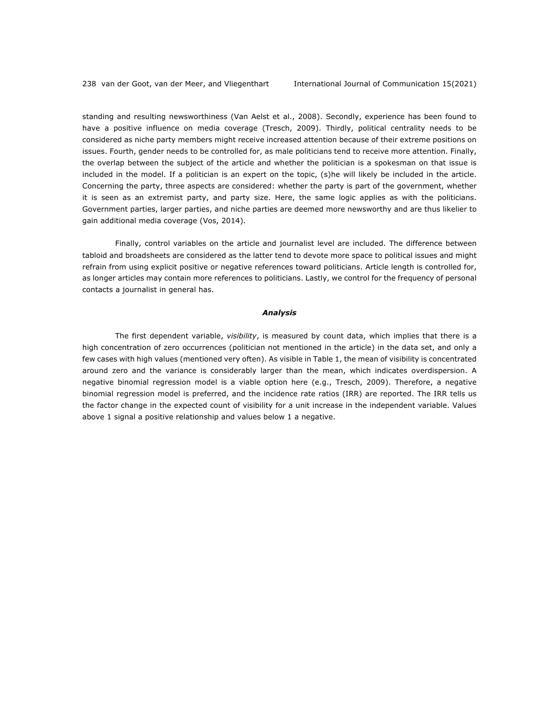standing and resulting newsworthiness (Van Aelst et al., 2008). Secondly, experience has been found to have a positive influence on media coverage (Tresch, 2009). Thirdly, political centrality needs to be considered as niche party members might receive increased attention because of their extreme positions on issues. Fourth, gender needs to be controlled for, as male politicians tend to receive more attention. Finally, the overlap between the subject of the article and whether the politician is a spokesman on that issue is included in the model. If a politician is an expert on the topic, (s)he will likely be included in the article. Concerning the party, three aspects are considered: whether the party is part of the government, whether it is seen as an extremist party, and party size. Here, the same logic applies as with the politicians. Government parties, larger parties, and niche parties are deemed more newsworthy and are thus likelier to gain additional media coverage (Vos, 2014).

Finally, control variables on the article and journalist level are included. The difference between tabloid and broadsheets are considered as the latter tend to devote more space to political issues and might refrain from using explicit positive or negative references toward politicians. Article length is controlled for, as longer articles may contain more references to politicians. Lastly, we control for the frequency of personal contacts a journalist in general has.

#### *Analysis*

The first dependent variable, *visibility*, is measured by count data, which implies that there is a high concentration of zero occurrences (politician not mentioned in the article) in the data set, and only a few cases with high values (mentioned very often). As visible in Table 1, the mean of visibility is concentrated around zero and the variance is considerably larger than the mean, which indicates overdispersion. A negative binomial regression model is a viable option here (e.g., Tresch, 2009). Therefore, a negative binomial regression model is preferred, and the incidence rate ratios (IRR) are reported. The IRR tells us the factor change in the expected count of visibility for a unit increase in the independent variable. Values above 1 signal a positive relationship and values below 1 a negative.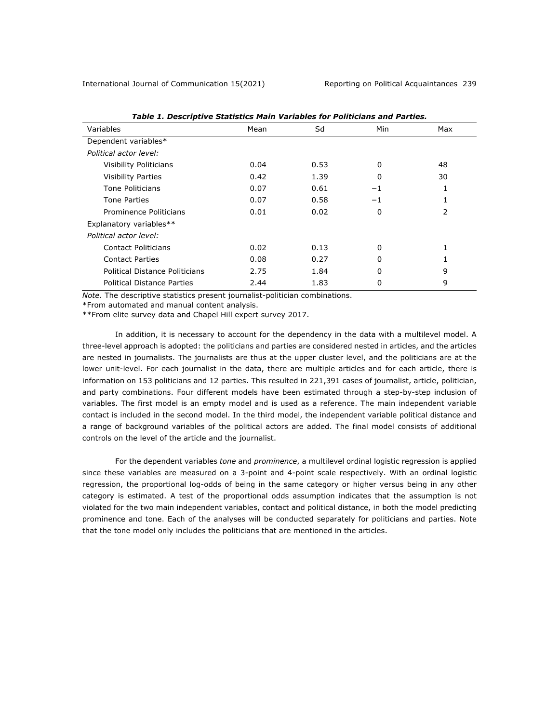| Table 1. Descriptive Statistics Main Variables for Politicians and Parties. |      |      |          |     |  |  |
|-----------------------------------------------------------------------------|------|------|----------|-----|--|--|
| Variables                                                                   | Mean | Sd   | Min      | Max |  |  |
| Dependent variables*                                                        |      |      |          |     |  |  |
| Political actor level:                                                      |      |      |          |     |  |  |
| Visibility Politicians                                                      | 0.04 | 0.53 | 0        | 48  |  |  |
| <b>Visibility Parties</b>                                                   | 0.42 | 1.39 | 0        | 30  |  |  |
| Tone Politicians                                                            | 0.07 | 0.61 | $-1$     | 1   |  |  |
| <b>Tone Parties</b>                                                         | 0.07 | 0.58 | $-1$     |     |  |  |
| Prominence Politicians                                                      | 0.01 | 0.02 | 0        | 2   |  |  |
| Explanatory variables**                                                     |      |      |          |     |  |  |
| Political actor level:                                                      |      |      |          |     |  |  |
| Contact Politicians                                                         | 0.02 | 0.13 | $\Omega$ |     |  |  |
| <b>Contact Parties</b>                                                      | 0.08 | 0.27 | 0        |     |  |  |
| Political Distance Politicians                                              | 2.75 | 1.84 | 0        | 9   |  |  |
| <b>Political Distance Parties</b>                                           | 2.44 | 1.83 | 0        | 9   |  |  |

*Table 1. Descriptive Statistics Main Variables for Politicians and Parties.*

*Note*. The descriptive statistics present journalist-politician combinations.

\*From automated and manual content analysis.

\*\*From elite survey data and Chapel Hill expert survey 2017.

In addition, it is necessary to account for the dependency in the data with a multilevel model. A three-level approach is adopted: the politicians and parties are considered nested in articles, and the articles are nested in journalists. The journalists are thus at the upper cluster level, and the politicians are at the lower unit-level. For each journalist in the data, there are multiple articles and for each article, there is information on 153 politicians and 12 parties. This resulted in 221,391 cases of journalist, article, politician, and party combinations. Four different models have been estimated through a step-by-step inclusion of variables. The first model is an empty model and is used as a reference. The main independent variable contact is included in the second model. In the third model, the independent variable political distance and a range of background variables of the political actors are added. The final model consists of additional controls on the level of the article and the journalist.

For the dependent variables *tone* and *prominence*, a multilevel ordinal logistic regression is applied since these variables are measured on a 3-point and 4-point scale respectively. With an ordinal logistic regression, the proportional log-odds of being in the same category or higher versus being in any other category is estimated. A test of the proportional odds assumption indicates that the assumption is not violated for the two main independent variables, contact and political distance, in both the model predicting prominence and tone. Each of the analyses will be conducted separately for politicians and parties. Note that the tone model only includes the politicians that are mentioned in the articles.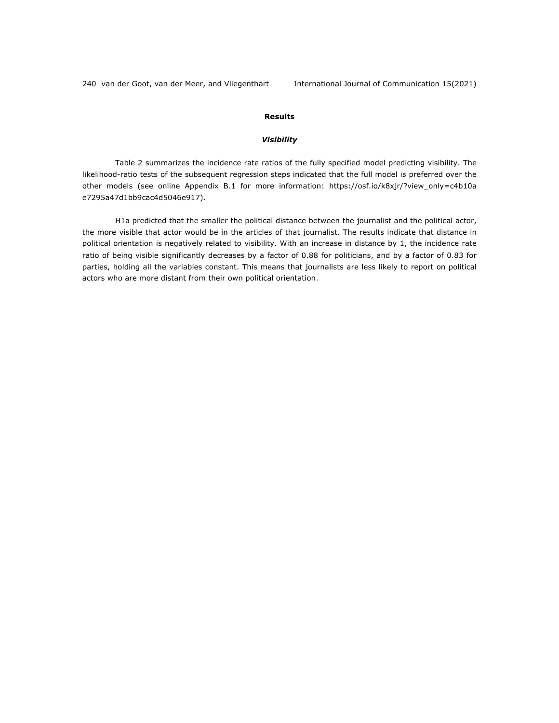### **Results**

#### *Visibility*

Table 2 summarizes the incidence rate ratios of the fully specified model predicting visibility. The likelihood-ratio tests of the subsequent regression steps indicated that the full model is preferred over the [other models \(see online Appendix B.1](https://osf.io/k8xjr/?view_only=c4b10ae7295a47d1bb9cac4d5046e917) for more information: https://osf.io/k8xjr/?view\_only=c4b10a e7295a47d1bb9cac4d5046e917).

H1a predicted that the smaller the political distance between the journalist and the political actor, the more visible that actor would be in the articles of that journalist. The results indicate that distance in political orientation is negatively related to visibility. With an increase in distance by 1, the incidence rate ratio of being visible significantly decreases by a factor of 0.88 for politicians, and by a factor of 0.83 for parties, holding all the variables constant. This means that journalists are less likely to report on political actors who are more distant from their own political orientation.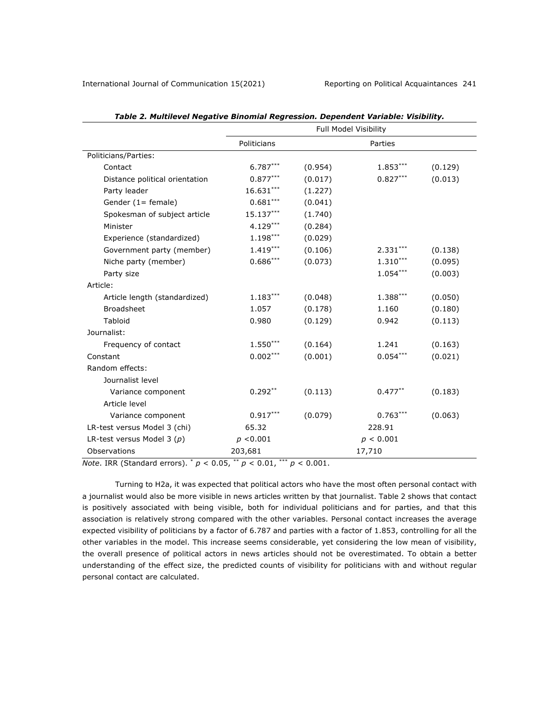|                                | -------<br>. apamaant runnapian risipinty.<br>Full Model Visibility |         |            |         |
|--------------------------------|---------------------------------------------------------------------|---------|------------|---------|
|                                | Politicians                                                         |         | Parties    |         |
| Politicians/Parties:           |                                                                     |         |            |         |
| Contact                        | $6.787***$                                                          | (0.954) | $1.853***$ | (0.129) |
| Distance political orientation | $0.877***$                                                          | (0.017) | $0.827***$ | (0.013) |
| Party leader                   | $16.631***$                                                         | (1.227) |            |         |
| Gender $(1 =$ female)          | $0.681***$                                                          | (0.041) |            |         |
| Spokesman of subject article   | $15.137***$                                                         | (1.740) |            |         |
| Minister                       | $4.129***$                                                          | (0.284) |            |         |
| Experience (standardized)      | $1.198***$                                                          | (0.029) |            |         |
| Government party (member)      | $1.419***$                                                          | (0.106) | $2.331***$ | (0.138) |
| Niche party (member)           | $0.686***$                                                          | (0.073) | $1.310***$ | (0.095) |
| Party size                     |                                                                     |         | $1.054***$ | (0.003) |
| Article:                       |                                                                     |         |            |         |
| Article length (standardized)  | $1.183***$                                                          | (0.048) | 1.388***   | (0.050) |
| <b>Broadsheet</b>              | 1.057                                                               | (0.178) | 1.160      | (0.180) |
| Tabloid                        | 0.980                                                               | (0.129) | 0.942      | (0.113) |
| Journalist:                    |                                                                     |         |            |         |
| Frequency of contact           | $1.550***$                                                          | (0.164) | 1.241      | (0.163) |
| Constant                       | $0.002***$                                                          | (0.001) | $0.054***$ | (0.021) |
| Random effects:                |                                                                     |         |            |         |
| Journalist level               |                                                                     |         |            |         |
| Variance component             | $0.292**$                                                           | (0.113) | $0.477***$ | (0.183) |
| Article level                  |                                                                     |         |            |         |
| Variance component             | $0.917***$                                                          | (0.079) | $0.763***$ | (0.063) |
| LR-test versus Model 3 (chi)   | 65.32                                                               |         | 228.91     |         |
| LR-test versus Model 3 $(p)$   | p < 0.001                                                           |         | p < 0.001  |         |
| Observations                   | 203,681                                                             |         | 17,710     |         |

*Note*. IRR (Standard errors). \* *p* < 0.05, \*\* *p* < 0.01, \*\*\* *p* < 0.001.

Turning to H2a, it was expected that political actors who have the most often personal contact with a journalist would also be more visible in news articles written by that journalist. Table 2 shows that contact is positively associated with being visible, both for individual politicians and for parties, and that this association is relatively strong compared with the other variables. Personal contact increases the average expected visibility of politicians by a factor of 6.787 and parties with a factor of 1.853, controlling for all the other variables in the model. This increase seems considerable, yet considering the low mean of visibility, the overall presence of political actors in news articles should not be overestimated. To obtain a better understanding of the effect size, the predicted counts of visibility for politicians with and without regular personal contact are calculated.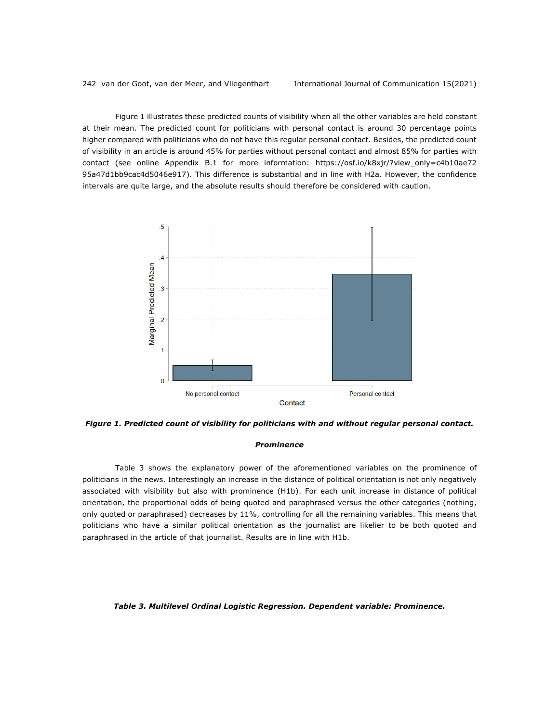Figure 1 illustrates these predicted counts of visibility when all the other variables are held constant at their mean. The predicted count for politicians with personal contact is around 30 percentage points higher compared with politicians who do not have this regular personal contact. Besides, the predicted count of visibility in an article is around 45% for parties without personal contact and almost 85% for parties with contact (see online Appendix B.1 for more information: https://osf.io/k8xjr/?view\_only=c4b10ae72 [95a47d1bb9cac4d5046e917\). This difference is substantial and in line with H2a. However, the confidence](https://osf.io/k8xjr/?view_only=c4b10ae7295a47d1bb9cac4d5046e917) intervals are quite large, and the absolute results should therefore be considered with caution.



*Figure 1. Predicted count of visibility for politicians with and without regular personal contact.*

#### *Prominence*

Table 3 shows the explanatory power of the aforementioned variables on the prominence of politicians in the news. Interestingly an increase in the distance of political orientation is not only negatively associated with visibility but also with prominence (H1b). For each unit increase in distance of political orientation, the proportional odds of being quoted and paraphrased versus the other categories (nothing, only quoted or paraphrased) decreases by 11%, controlling for all the remaining variables. This means that politicians who have a similar political orientation as the journalist are likelier to be both quoted and paraphrased in the article of that journalist. Results are in line with H1b.

#### *Table 3. Multilevel Ordinal Logistic Regression. Dependent variable: Prominence.*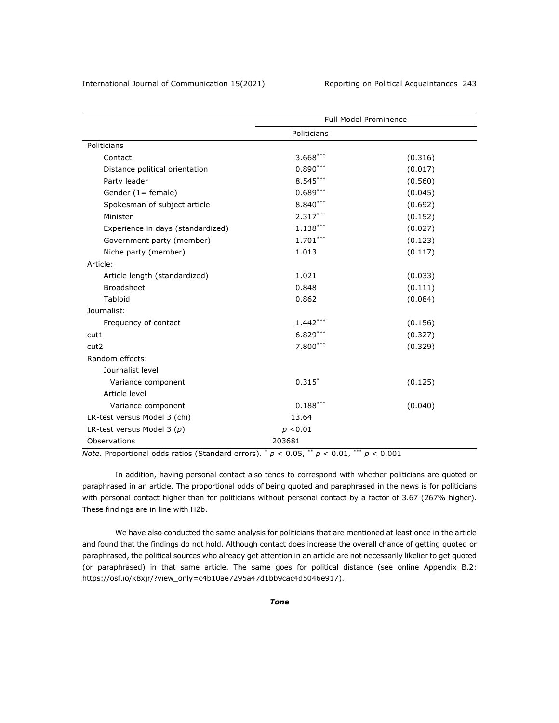|                                   | <b>Full Model Prominence</b> |         |  |
|-----------------------------------|------------------------------|---------|--|
|                                   | Politicians                  |         |  |
| Politicians                       |                              |         |  |
| Contact                           | $3.668***$                   | (0.316) |  |
| Distance political orientation    | $0.890***$                   | (0.017) |  |
| Party leader                      | $8.545***$                   | (0.560) |  |
| Gender $(1 =$ female)             | $0.689***$                   | (0.045) |  |
| Spokesman of subject article      | $8.840***$                   | (0.692) |  |
| Minister                          | $2.317***$                   | (0.152) |  |
| Experience in days (standardized) | $1.138***$                   | (0.027) |  |
| Government party (member)         | $1.701***$                   | (0.123) |  |
| Niche party (member)              | 1.013                        | (0.117) |  |
| Article:                          |                              |         |  |
| Article length (standardized)     | 1.021                        | (0.033) |  |
| <b>Broadsheet</b>                 | 0.848                        | (0.111) |  |
| <b>Tabloid</b>                    | 0.862                        | (0.084) |  |
| Journalist:                       |                              |         |  |
| Frequency of contact              | $1.442***$                   | (0.156) |  |
| cut1                              | $6.829***$                   | (0.327) |  |
| cut <sub>2</sub>                  | $7.800***$                   | (0.329) |  |
| Random effects:                   |                              |         |  |
| Journalist level                  |                              |         |  |
| Variance component                | $0.315*$                     | (0.125) |  |
| Article level                     |                              |         |  |
| Variance component                | $0.188***$                   | (0.040) |  |
| LR-test versus Model 3 (chi)      | 13.64                        |         |  |
| LR-test versus Model 3 $(p)$      | p < 0.01                     |         |  |
| Observations                      | 203681                       |         |  |

*Note*. Proportional odds ratios (Standard errors).  $p < 0.05$ ,  $p < 0.01$ ,  $p \le 0.001$ 

In addition, having personal contact also tends to correspond with whether politicians are quoted or paraphrased in an article. The proportional odds of being quoted and paraphrased in the news is for politicians with personal contact higher than for politicians without personal contact by a factor of 3.67 (267% higher). These findings are in line with H2b.

We have also conducted the same analysis for politicians that are mentioned at least once in the article and found that the findings do not hold. Although contact does increase the overall chance of getting quoted or paraphrased, the political sources who already get attention in an article are not necessarily likelier to get quoted (or paraphrased) in that same article. The same goes for political distance (see online Appendix B.2: https://osf.io/k8xjr/?view\_only=c4b10ae7295a47d1bb9cac4d5046e917).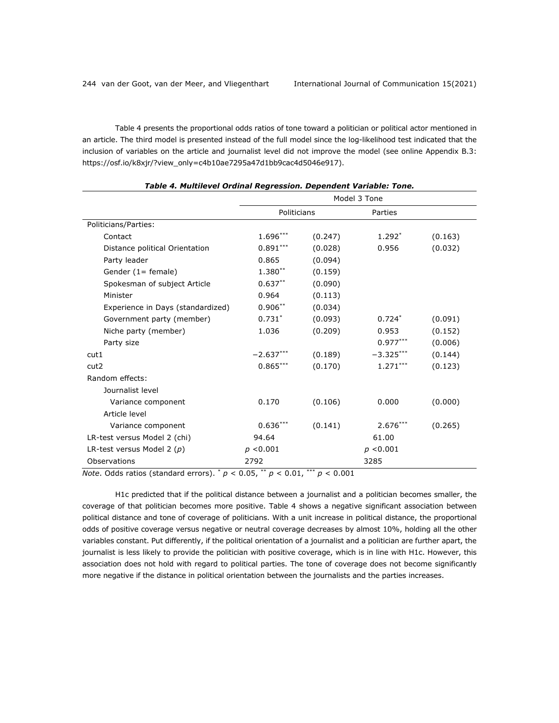Table 4 presents the proportional odds ratios of tone toward a politician or political actor mentioned in an article. The third model is presented instead of the full model since the log-likelihood test indicated that the inclusion of variables on the article and journalist level did not improve the model (see online Appendix B.3: https://osf.io/k8xjr/?view\_only=c4b10ae7295a47d1bb9cac4d5046e917).

*Table 4. Multilevel Ordinal Regression. Dependent Variable: Tone.*

|                                   | Model 3 Tone |         |             |         |
|-----------------------------------|--------------|---------|-------------|---------|
|                                   | Politicians  |         | Parties     |         |
| Politicians/Parties:              |              |         |             |         |
| Contact                           | $1.696***$   | (0.247) | $1.292*$    | (0.163) |
| Distance political Orientation    | $0.891***$   | (0.028) | 0.956       | (0.032) |
| Party leader                      | 0.865        | (0.094) |             |         |
| Gender $(1 =$ female)             | $1.380**$    | (0.159) |             |         |
| Spokesman of subject Article      | $0.637**$    | (0.090) |             |         |
| Minister                          | 0.964        | (0.113) |             |         |
| Experience in Days (standardized) | $0.906***$   | (0.034) |             |         |
| Government party (member)         | $0.731*$     | (0.093) | $0.724*$    | (0.091) |
| Niche party (member)              | 1.036        | (0.209) | 0.953       | (0.152) |
| Party size                        |              |         | $0.977***$  | (0.006) |
| cut1                              | $-2.637***$  | (0.189) | $-3.325***$ | (0.144) |
| cut <sub>2</sub>                  | $0.865***$   | (0.170) | $1.271***$  | (0.123) |
| Random effects:                   |              |         |             |         |
| Journalist level                  |              |         |             |         |
| Variance component                | 0.170        | (0.106) | 0.000       | (0.000) |
| Article level                     |              |         |             |         |
| Variance component                | $0.636***$   | (0.141) | $2.676***$  | (0.265) |
| LR-test versus Model 2 (chi)      | 94.64        |         | 61.00       |         |
| LR-test versus Model 2 $(p)$      | p < 0.001    |         | p < 0.001   |         |
| Observations                      | 2792         |         | 3285        |         |

*Note*. Odds ratios (standard errors). \* *p* < 0.05, \*\* *p* < 0.01, \*\*\* *p* < 0.001

H1c predicted that if the political distance between a journalist and a politician becomes smaller, the coverage of that politician becomes more positive. Table 4 shows a negative significant association between political distance and tone of coverage of politicians. With a unit increase in political distance, the proportional odds of positive coverage versus negative or neutral coverage decreases by almost 10%, holding all the other variables constant. Put differently, if the political orientation of a journalist and a politician are further apart, the journalist is less likely to provide the politician with positive coverage, which is in line with H1c. However, this association does not hold with regard to political parties. The tone of coverage does not become significantly more negative if the distance in political orientation between the journalists and the parties increases.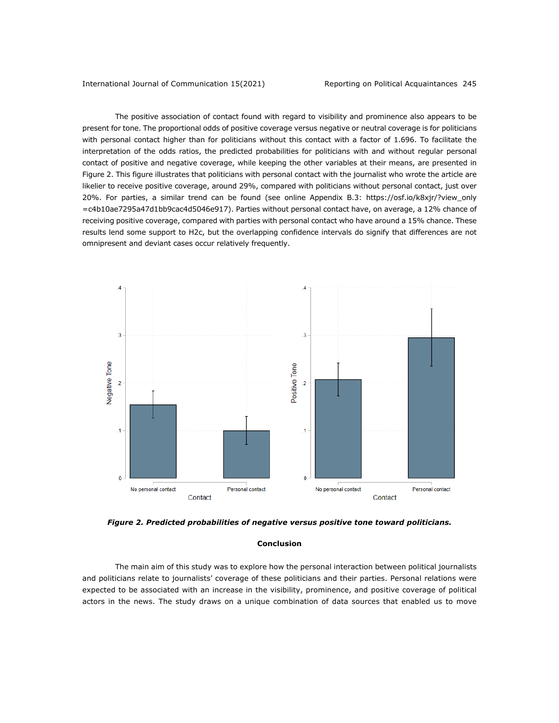The positive association of contact found with regard to visibility and prominence also appears to be present for tone. The proportional odds of positive coverage versus negative or neutral coverage is for politicians with personal contact higher than for politicians without this contact with a factor of 1.696. To facilitate the interpretation of the odds ratios, the predicted probabilities for politicians with and without regular personal contact of positive and negative coverage, while keeping the other variables at their means, are presented in Figure 2. This figure illustrates that politicians with personal contact with the journalist who wrote the article are likelier to receive positive coverage, around 29%, compared with politicians without personal contact, just over [20%. For parties, a similar trend can be found \(see online Appendix B.3:](https://osf.io/k8xjr/?view_only=c4b10ae7295a47d1bb9cac4d5046e917) https://osf.io/k8xjr/?view\_only =c4b10ae7295a47d1bb9cac4d5046e917). Parties without personal contact have, on average, a 12% chance of receiving positive coverage, compared with parties with personal contact who have around a 15% chance. These results lend some support to H2c, but the overlapping confidence intervals do signify that differences are not omnipresent and deviant cases occur relatively frequently.



*Figure 2. Predicted probabilities of negative versus positive tone toward politicians.*

#### **Conclusion**

The main aim of this study was to explore how the personal interaction between political journalists and politicians relate to journalists' coverage of these politicians and their parties. Personal relations were expected to be associated with an increase in the visibility, prominence, and positive coverage of political actors in the news. The study draws on a unique combination of data sources that enabled us to move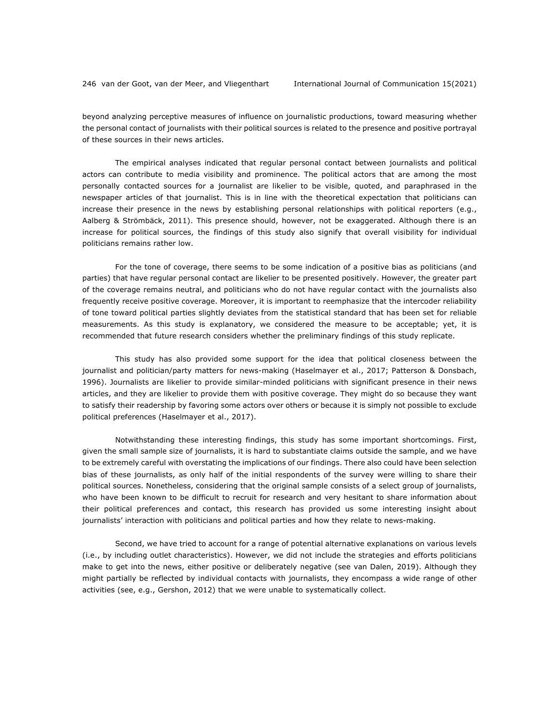beyond analyzing perceptive measures of influence on journalistic productions, toward measuring whether the personal contact of journalists with their political sources is related to the presence and positive portrayal of these sources in their news articles.

The empirical analyses indicated that regular personal contact between journalists and political actors can contribute to media visibility and prominence. The political actors that are among the most personally contacted sources for a journalist are likelier to be visible, quoted, and paraphrased in the newspaper articles of that journalist. This is in line with the theoretical expectation that politicians can increase their presence in the news by establishing personal relationships with political reporters (e.g., Aalberg & Strömbäck, 2011). This presence should, however, not be exaggerated. Although there is an increase for political sources, the findings of this study also signify that overall visibility for individual politicians remains rather low.

For the tone of coverage, there seems to be some indication of a positive bias as politicians (and parties) that have regular personal contact are likelier to be presented positively. However, the greater part of the coverage remains neutral, and politicians who do not have regular contact with the journalists also frequently receive positive coverage. Moreover, it is important to reemphasize that the intercoder reliability of tone toward political parties slightly deviates from the statistical standard that has been set for reliable measurements. As this study is explanatory, we considered the measure to be acceptable; yet, it is recommended that future research considers whether the preliminary findings of this study replicate.

This study has also provided some support for the idea that political closeness between the journalist and politician/party matters for news-making (Haselmayer et al., 2017; Patterson & Donsbach, 1996). Journalists are likelier to provide similar-minded politicians with significant presence in their news articles, and they are likelier to provide them with positive coverage. They might do so because they want to satisfy their readership by favoring some actors over others or because it is simply not possible to exclude political preferences (Haselmayer et al., 2017).

Notwithstanding these interesting findings, this study has some important shortcomings. First, given the small sample size of journalists, it is hard to substantiate claims outside the sample, and we have to be extremely careful with overstating the implications of our findings. There also could have been selection bias of these journalists, as only half of the initial respondents of the survey were willing to share their political sources. Nonetheless, considering that the original sample consists of a select group of journalists, who have been known to be difficult to recruit for research and very hesitant to share information about their political preferences and contact, this research has provided us some interesting insight about journalists' interaction with politicians and political parties and how they relate to news-making.

Second, we have tried to account for a range of potential alternative explanations on various levels (i.e., by including outlet characteristics). However, we did not include the strategies and efforts politicians make to get into the news, either positive or deliberately negative (see van Dalen, 2019). Although they might partially be reflected by individual contacts with journalists, they encompass a wide range of other activities (see, e.g., Gershon, 2012) that we were unable to systematically collect.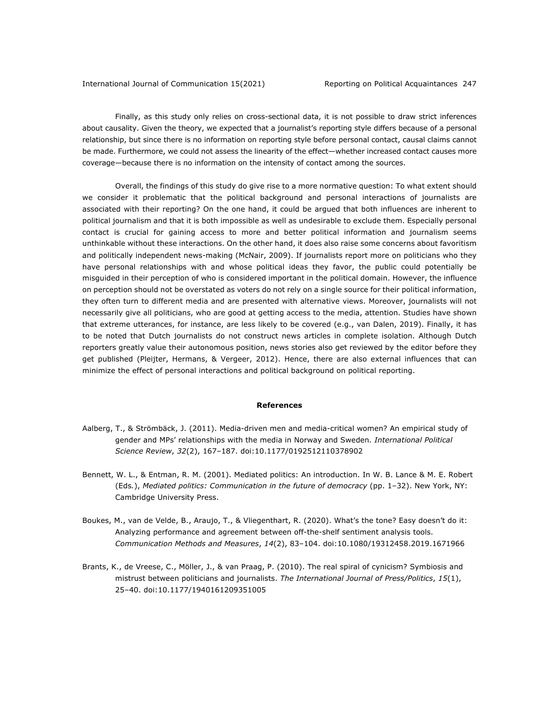Finally, as this study only relies on cross-sectional data, it is not possible to draw strict inferences about causality. Given the theory, we expected that a journalist's reporting style differs because of a personal relationship, but since there is no information on reporting style before personal contact, causal claims cannot be made. Furthermore, we could not assess the linearity of the effect—whether increased contact causes more coverage—because there is no information on the intensity of contact among the sources.

Overall, the findings of this study do give rise to a more normative question: To what extent should we consider it problematic that the political background and personal interactions of journalists are associated with their reporting? On the one hand, it could be argued that both influences are inherent to political journalism and that it is both impossible as well as undesirable to exclude them. Especially personal contact is crucial for gaining access to more and better political information and journalism seems unthinkable without these interactions. On the other hand, it does also raise some concerns about favoritism and politically independent news-making (McNair, 2009). If journalists report more on politicians who they have personal relationships with and whose political ideas they favor, the public could potentially be misguided in their perception of who is considered important in the political domain. However, the influence on perception should not be overstated as voters do not rely on a single source for their political information, they often turn to different media and are presented with alternative views. Moreover, journalists will not necessarily give all politicians, who are good at getting access to the media, attention. Studies have shown that extreme utterances, for instance, are less likely to be covered (e.g., van Dalen, 2019). Finally, it has to be noted that Dutch journalists do not construct news articles in complete isolation. Although Dutch reporters greatly value their autonomous position, news stories also get reviewed by the editor before they get published (Pleijter, Hermans, & Vergeer, 2012). Hence, there are also external influences that can minimize the effect of personal interactions and political background on political reporting.

#### **References**

- Aalberg, T., & Strömbäck, J. (2011). Media-driven men and media-critical women? An empirical study of gender and MPs' relationships with the media in Norway and Sweden*. International Political Science Review*, *32*(2), 167–187. doi:10.1177/0192512110378902
- Bennett, W. L., & Entman, R. M. (2001). Mediated politics: An introduction. In W. B. Lance & M. E. Robert (Eds*.*), *Mediated politics: Communication in the future of democracy* (pp. 1‒32). New York, NY: Cambridge University Press.
- Boukes, M., van de Velde, B., Araujo, T., & Vliegenthart, R. (2020). What's the tone? Easy doesn't do it: Analyzing performance and agreement between off-the-shelf sentiment analysis tools. *Communication Methods and Measures*, *14*(2), 83–104. doi:10.1080/19312458.2019.1671966
- Brants, K., de Vreese, C., Möller, J., & van Praag, P. (2010). The real spiral of cynicism? Symbiosis and mistrust between politicians and journalists. *The International Journal of Press/Politics*, *15*(1), 25–40. doi:10.1177/1940161209351005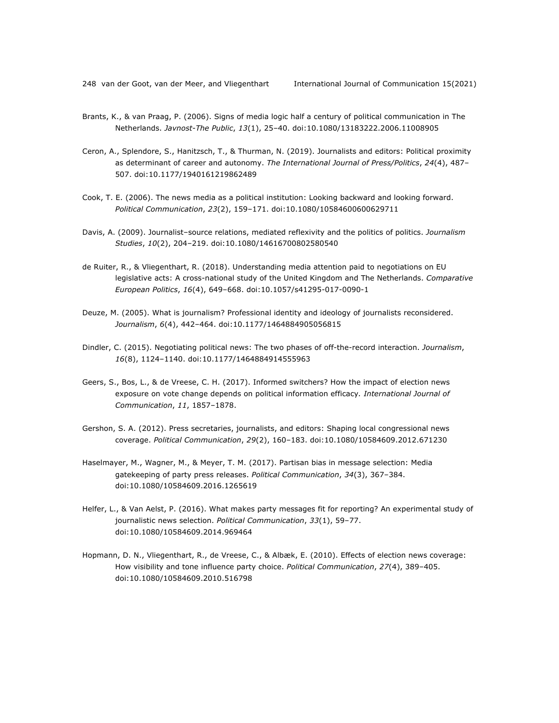- Brants, K., & van Praag, P. (2006). Signs of media logic half a century of political communication in The Netherlands. *Javnost-The Public*, *13*(1), 25–40. doi:10.1080/13183222.2006.11008905
- Ceron, A., Splendore, S., Hanitzsch, T., & Thurman, N. (2019). Journalists and editors: Political proximity as determinant of career and autonomy. *The International Journal of Press/Politics*, *24*(4), 487– 507. doi:10.1177/1940161219862489
- Cook, T. E. (2006). The news media as a political institution: Looking backward and looking forward. *Political Communication*, *23*(2), 159–171. doi:10.1080/10584600600629711
- Davis, A. (2009). Journalist–source relations, mediated reflexivity and the politics of politics. *Journalism Studies*, *10*(2), 204–219. doi:10.1080/14616700802580540
- de Ruiter, R., & Vliegenthart, R. (2018). Understanding media attention paid to negotiations on EU legislative acts: A cross-national study of the United Kingdom and The Netherlands. *Comparative European Politics*, *16*(4), 649–668. doi:10.1057/s41295-017-0090-1
- Deuze, M. (2005). What is journalism? Professional identity and ideology of journalists reconsidered. *Journalism*, *6*(4), 442–464. doi:10.1177/1464884905056815
- Dindler, C. (2015). Negotiating political news: The two phases of off-the-record interaction. *Journalism*, *16*(8), 1124–1140. doi:10.1177/1464884914555963
- Geers, S., Bos, L., & de Vreese, C. H. (2017). Informed switchers? How the impact of election news exposure on vote change depends on political information efficacy*. International Journal of Communication*, *11*, 1857–1878.
- Gershon, S. A. (2012). Press secretaries, journalists, and editors: Shaping local congressional news coverage. *Political Communication*, *29*(2), 160–183. doi:10.1080/10584609.2012.671230
- Haselmayer, M., Wagner, M., & Meyer, T. M. (2017). Partisan bias in message selection: Media gatekeeping of party press releases. *Political Communication*, *34*(3), 367–384. doi:10.1080/10584609.2016.1265619
- Helfer, L., & Van Aelst, P. (2016). What makes party messages fit for reporting? An experimental study of journalistic news selection. *Political Communication*, *33*(1), 59–77. doi:10.1080/10584609.2014.969464
- Hopmann, D. N., Vliegenthart, R., de Vreese, C., & Albæk, E. (2010). Effects of election news coverage: How visibility and tone influence party choice. *Political Communication*, *27*(4), 389–405. doi:10.1080/10584609.2010.516798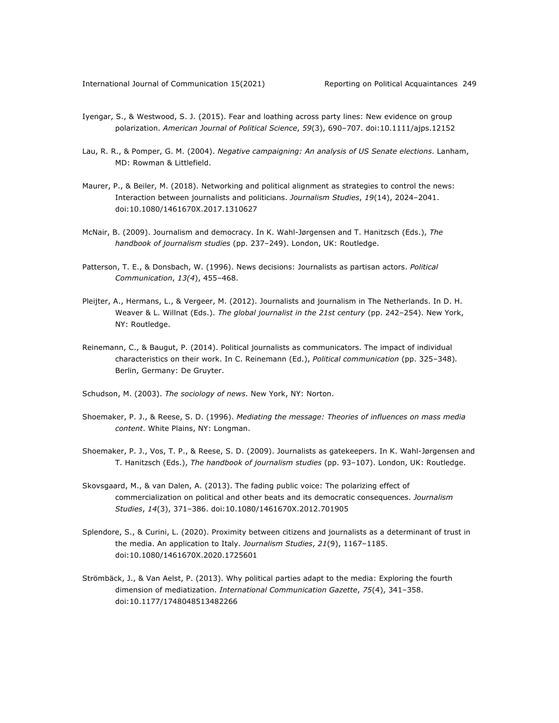- Iyengar, S., & Westwood, S. J. (2015). Fear and loathing across party lines: New evidence on group polarization. *American Journal of Political Science*, *59*(3), 690–707. doi:10.1111/ajps.12152
- Lau, R. R., & Pomper, G. M. (2004). *Negative campaigning: An analysis of US Senate elections*. Lanham, MD: Rowman & Littlefield.
- Maurer, P., & Beiler, M. (2018). Networking and political alignment as strategies to control the news: Interaction between journalists and politicians. *Journalism Studies*, *19*(14), 2024–2041. doi:10.1080/1461670X.2017.1310627
- McNair, B. (2009). Journalism and democracy. In K. Wahl-Jørgensen and T. Hanitzsch (Eds.), *The handbook of journalism studies* (pp. 237–249). London, UK: Routledge.
- Patterson, T. E., & Donsbach, W. (1996). News decisions: Journalists as partisan actors. *Political Communication*, *13(4*), 455–468.
- Pleijter, A., Hermans, L., & Vergeer, M. (2012). Journalists and journalism in The Netherlands. In D. H. Weaver & L. Willnat (Eds.). *The global journalist in the 21st century* (pp. 242–254). New York, NY: Routledge.
- Reinemann, C., & Baugut, P. (2014). Political journalists as communicators. The impact of individual characteristics on their work. In C. Reinemann (Ed.), *Political communication* (pp. 325–348)*.* Berlin, Germany: De Gruyter.
- Schudson, M. (2003). *The sociology of news*. New York, NY: Norton.
- Shoemaker, P. J., & Reese, S. D. (1996). *Mediating the message: Theories of influences on mass media content*. White Plains, NY: Longman.
- Shoemaker, P. J., Vos, T. P., & Reese, S. D. (2009). Journalists as gatekeepers. In K. Wahl-Jørgensen and T. Hanitzsch (Eds.), *The handbook of journalism studies* (pp. 93–107). London, UK: Routledge.
- Skovsgaard, M., & van Dalen, A. (2013). The fading public voice: The polarizing effect of commercialization on political and other beats and its democratic consequences. *Journalism Studies*, *14*(3), 371–386. doi:10.1080/1461670X.2012.701905
- Splendore, S., & Curini, L. (2020). Proximity between citizens and journalists as a determinant of trust in the media. An application to Italy. *Journalism Studies*, *21*(9), 1167–1185. doi:10.1080/1461670X.2020.1725601
- Strömbäck, J., & Van Aelst, P. (2013). Why political parties adapt to the media: Exploring the fourth dimension of mediatization. *International Communication Gazette*, *75*(4), 341–358. doi:10.1177/1748048513482266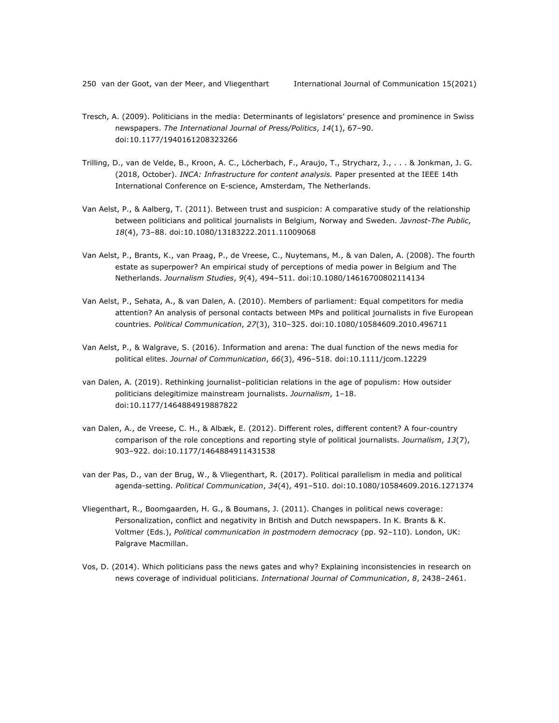- Tresch, A. (2009). Politicians in the media: Determinants of legislators' presence and prominence in Swiss newspapers. *The International Journal of Press/Politics*, *14*(1), 67–90. doi:10.1177/1940161208323266
- Trilling, D., van de Velde, B., Kroon, A. C., Löcherbach, F., Araujo, T., Strycharz, J., . . . & Jonkman, J. G. (2018, October). *INCA: Infrastructure for content analysis.* Paper presented at the IEEE 14th International Conference on E-science, Amsterdam, The Netherlands.
- Van Aelst, P., & Aalberg, T. (2011). Between trust and suspicion: A comparative study of the relationship between politicians and political journalists in Belgium, Norway and Sweden. *Javnost-The Public*, *18*(4), 73–88. doi:10.1080/13183222.2011.11009068
- Van Aelst, P., Brants, K., van Praag, P., de Vreese, C., Nuytemans, M., & van Dalen, A. (2008). The fourth estate as superpower? An empirical study of perceptions of media power in Belgium and The Netherlands. *Journalism Studies*, *9*(4), 494–511. doi:10.1080/14616700802114134
- Van Aelst, P., Sehata, A., & van Dalen, A. (2010). Members of parliament: Equal competitors for media attention? An analysis of personal contacts between MPs and political journalists in five European countries. *Political Communication*, *27*(3), 310–325. doi:10.1080/10584609.2010.496711
- Van Aelst, P., & Walgrave, S. (2016). Information and arena: The dual function of the news media for political elites. *Journal of Communication*, *66*(3), 496–518. doi:10.1111/jcom.12229
- van Dalen, A. (2019). Rethinking journalist–politician relations in the age of populism: How outsider politicians delegitimize mainstream journalists. *Journalism*, 1–18. doi:10.1177/1464884919887822
- van Dalen, A., de Vreese, C. H., & Albæk, E. (2012). Different roles, different content? A four-country comparison of the role conceptions and reporting style of political journalists. *Journalism*, *13*(7), 903–922. doi:10.1177/1464884911431538
- van der Pas, D., van der Brug, W., & Vliegenthart, R. (2017). Political parallelism in media and political agenda-setting. *Political Communication*, *34*(4), 491–510. doi:10.1080/10584609.2016.1271374
- Vliegenthart, R., Boomgaarden, H. G., & Boumans, J. (2011). Changes in political news coverage: Personalization, conflict and negativity in British and Dutch newspapers. In K. Brants & K. Voltmer (Eds.), *Political communication in postmodern democracy* (pp. 92–110). London, UK: Palgrave Macmillan.
- Vos, D. (2014). Which politicians pass the news gates and why? Explaining inconsistencies in research on news coverage of individual politicians. *International Journal of Communication*, *8*, 2438–2461.